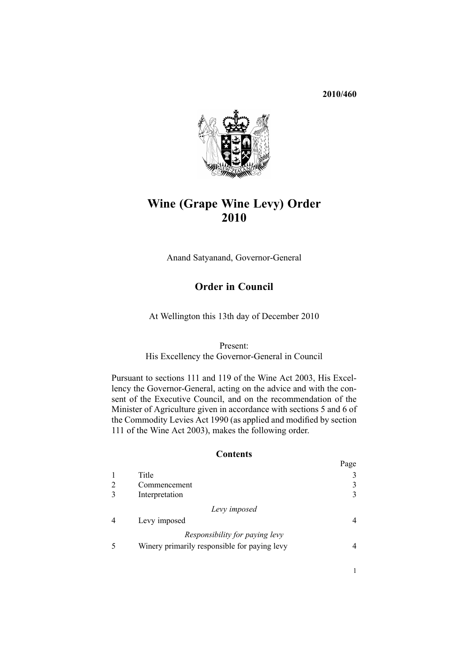# **2010/460**



# **Wine (Grape Wine Levy) Order 2010**

Anand Satyanand, Governor-General

# **Order in Council**

At Wellington this 13th day of December 2010

### Present:

His Excellency the Governor-General in Council

Pursuant to [sections](http://www.legislation.govt.nz/pdflink.aspx?id=DLM223266) 111 and [119](http://www.legislation.govt.nz/pdflink.aspx?id=DLM223280) of the Wine Act 2003, His Excellency the Governor-General, acting on the advice and with the consent of the Executive Council, and on the recommendation of the Minister of Agriculture given in accordance with [sections](http://www.legislation.govt.nz/pdflink.aspx?id=DLM227327) 5 and [6](http://www.legislation.govt.nz/pdflink.aspx?id=DLM227329) of the Commodity Levies Act 1990 (as applied and modified by section 111 of the Wine Act 2003), makes the following order.

### **Contents**

|                                              | Page |
|----------------------------------------------|------|
| Title                                        |      |
| Commencement                                 |      |
| Interpretation                               |      |
| Levy imposed                                 |      |
| Levy imposed                                 |      |
| Responsibility for paying levy               |      |
| Winery primarily responsible for paying levy |      |

1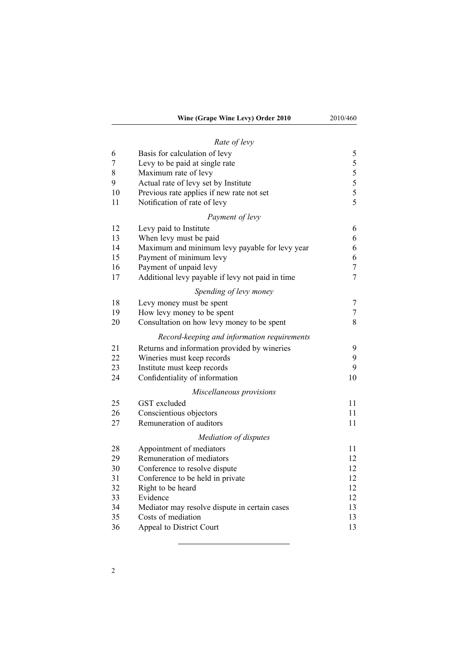# *Rate of [levy](#page-4-0)*

| 6        | Basis for calculation of levy                                             | 5              |
|----------|---------------------------------------------------------------------------|----------------|
| 7<br>8   | Levy to be paid at single rate                                            | 5<br>5         |
| 9        | Maximum rate of levy<br>Actual rate of levy set by Institute              | 5              |
| 10       | Previous rate applies if new rate not set                                 | 5              |
| 11       | Notification of rate of levy                                              | 5              |
|          | Payment of levy                                                           |                |
| 12       |                                                                           |                |
| 13       | Levy paid to Institute                                                    | 6              |
| 14       | When levy must be paid                                                    | 6<br>6         |
| 15       | Maximum and minimum levy payable for levy year<br>Payment of minimum levy | 6              |
| 16       | Payment of unpaid levy                                                    | $\tau$         |
| 17       | Additional levy payable if levy not paid in time                          | $\overline{7}$ |
|          | Spending of levy money                                                    |                |
|          |                                                                           |                |
| 18       | Levy money must be spent                                                  | 7              |
| 19<br>20 | How levy money to be spent                                                | 7<br>8         |
|          | Consultation on how levy money to be spent                                |                |
|          | Record-keeping and information requirements                               |                |
| 21       | Returns and information provided by wineries                              | 9              |
| 22       | Wineries must keep records                                                | 9              |
| 23       | Institute must keep records                                               | 9              |
| 24       | Confidentiality of information                                            | 10             |
|          | Miscellaneous provisions                                                  |                |
| 25       | GST excluded                                                              | 11             |
| 26       | Conscientious objectors                                                   | 11             |
| 27       | Remuneration of auditors                                                  | 11             |
|          | Mediation of disputes                                                     |                |
| 28       | Appointment of mediators                                                  | 11             |
| 29       | Remuneration of mediators                                                 | 12             |
| 30       | Conference to resolve dispute                                             | 12             |
| 31       | Conference to be held in private                                          | 12             |
| 32       | Right to be heard                                                         | 12             |
| 33       | Evidence                                                                  | 12             |
| 34       | Mediator may resolve dispute in certain cases                             | 13             |
| 35       | Costs of mediation                                                        | 13             |
| 36       | Appeal to District Court                                                  | 13             |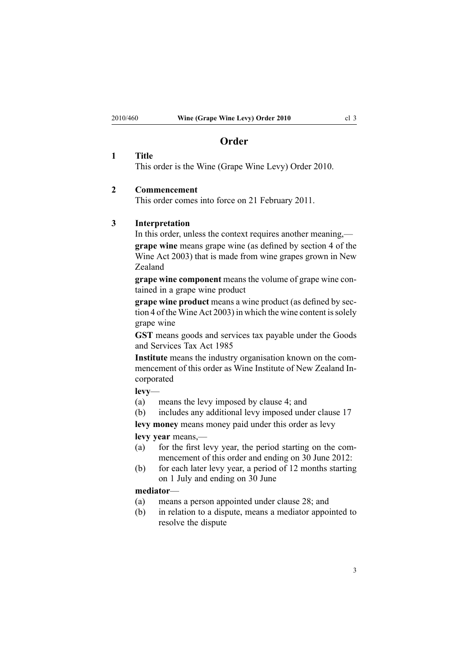# **Order**

#### <span id="page-2-0"></span>**1 Title**

This order is the Wine (Grape Wine Levy) Order 2010.

### **2 Commencement**

This order comes into force on 21 February 2011.

## **3 Interpretation**

In this order, unless the context requires another meaning,—

**grape wine** means grape wine (as defined by [section](http://www.legislation.govt.nz/pdflink.aspx?id=DLM222454) 4 of the Wine Act 2003) that is made from wine grapes grown in New Zealand

**grape wine componen<sup>t</sup>** means the volume of grape wine contained in <sup>a</sup> grape wine product

**grape wine product** means <sup>a</sup> wine product (as defined by [sec](http://www.legislation.govt.nz/pdflink.aspx?id=DLM222454)[tion](http://www.legislation.govt.nz/pdflink.aspx?id=DLM222454) 4 of the Wine Act 2003) in which the wine content is solely grape wine

**GST** means goods and services tax payable under the [Goods](http://www.legislation.govt.nz/pdflink.aspx?id=DLM81034) and [Services](http://www.legislation.govt.nz/pdflink.aspx?id=DLM81034) Tax Act 1985

**Institute** means the industry organisation known on the commencement of this order as Wine Institute of New Zealand Incorporated

# **levy**—

- (a) means the levy imposed by [clause](#page-3-0) 4; and
- (b) includes any additional levy imposed under [clause](#page-6-0) 17
- **levy money** means money paid under this order as levy

**levy year** means,—

- (a) for the first levy year, the period starting on the commencement of this order and ending on 30 June 2012:
- (b) for each later levy year, <sup>a</sup> period of 12 months starting on 1 July and ending on 30 June

# **mediator**—

- (a) means <sup>a</sup> person appointed under [clause](#page-10-0) 28; and
- (b) in relation to <sup>a</sup> dispute, means <sup>a</sup> mediator appointed to resolve the dispute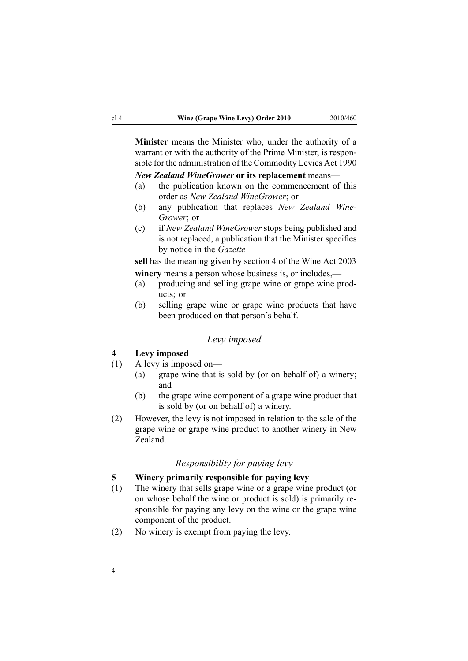<span id="page-3-0"></span>**Minister** means the Minister who, under the authority of <sup>a</sup> warrant or with the authority of the Prime Minister, is responsible for the administration of the [Commodity](http://www.legislation.govt.nz/pdflink.aspx?id=DLM226673) Levies Act 1990

*New Zealand WineGrower* **or its replacement** means—

- (a) the publication known on the commencement of this order as *New Zealand WineGrower*; or
- (b) any publication that replaces *New Zealand Wine-Grower*; or
- (c) if *New Zealand WineGrower* stops being published and is not replaced, <sup>a</sup> publication that the Minister specifies by notice in the *Gazette*

**sell** has the meaning given by [section](http://www.legislation.govt.nz/pdflink.aspx?id=DLM222454) 4 of the Wine Act 2003 **winery** means <sup>a</sup> person whose business is, or includes,—

- (a) producing and selling grape wine or grape wine products; or
- (b) selling grape wine or grape wine products that have been produced on that person's behalf.

### *Levy imposed*

# **4 Levy imposed**

- (1) A levy is imposed on—
	- (a) grape wine that is sold by (or on behalf of) <sup>a</sup> winery; and
	- (b) the grape wine componen<sup>t</sup> of <sup>a</sup> grape wine product that is sold by (or on behalf of) <sup>a</sup> winery.
- (2) However, the levy is not imposed in relation to the sale of the grape wine or grape wine product to another winery in New Zealand.

# *Responsibility for paying levy*

# **5 Winery primarily responsible for paying levy**

- (1) The winery that sells grape wine or <sup>a</sup> grape wine product (or on whose behalf the wine or product is sold) is primarily responsible for paying any levy on the wine or the grape wine componen<sup>t</sup> of the product.
- (2) No winery is exemp<sup>t</sup> from paying the levy.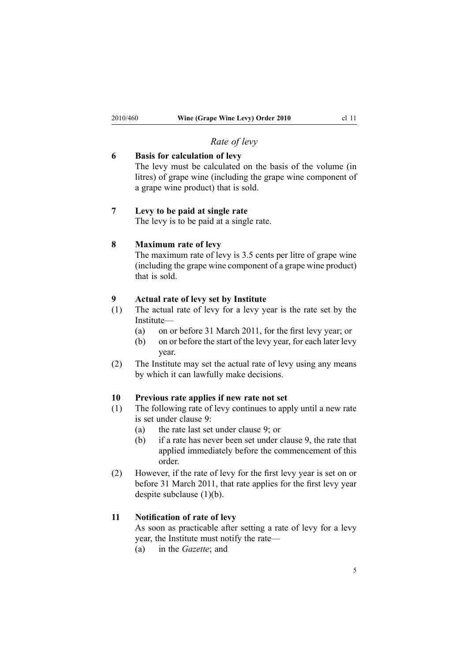# *Rate of levy*

# <span id="page-4-0"></span>**6 Basis for calculation of levy**

The levy must be calculated on the basis of the volume (in litres) of grape wine (including the grape wine componen<sup>t</sup> of <sup>a</sup> grape wine product) that is sold.

# **7 Levy to be paid at single rate**

The levy is to be paid at <sup>a</sup> single rate.

### **8 Maximum rate of levy**

The maximum rate of levy is 3.5 cents per litre of grape wine (including the grape wine componen<sup>t</sup> of <sup>a</sup> grape wine product) that is sold.

# **9 Actual rate of levy set by Institute**

- (1) The actual rate of levy for <sup>a</sup> levy year is the rate set by the Institute—
	- (a) on or before 31 March 2011, for the first levy year; or
	- (b) on or before the start of the levy year, for each later levy year.
- (2) The Institute may set the actual rate of levy using any means by which it can lawfully make decisions.

# **10 Previous rate applies if new rate not set**

- (1) The following rate of levy continues to apply until <sup>a</sup> new rate is set under clause 9:
	- (a) the rate last set under clause 9; or
	- (b) if <sup>a</sup> rate has never been set under clause 9, the rate that applied immediately before the commencement of this order.
- (2) However, if the rate of levy for the first levy year is set on or before 31 March 2011, that rate applies for the first levy year despite subclause (1)(b).

#### **11 Notification of rate of levy**

As soon as practicable after setting <sup>a</sup> rate of levy for <sup>a</sup> levy year, the Institute must notify the rate—

(a) in the *Gazette*; and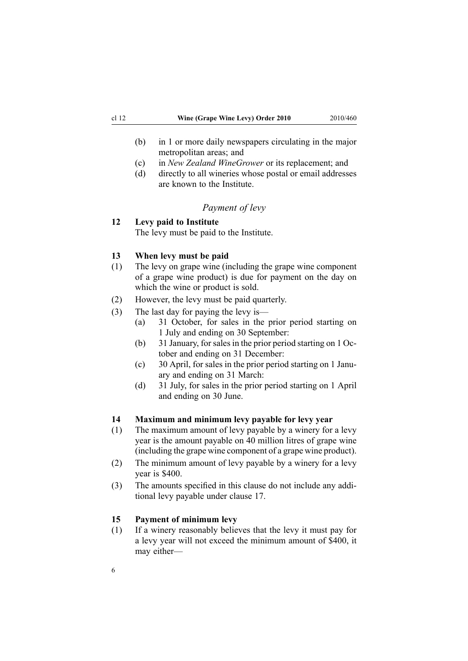- <span id="page-5-0"></span>(b) in 1 or more daily newspapers circulating in the major metropolitan areas; and
- (c) in *New Zealand WineGrower* or its replacement; and
- (d) directly to all wineries whose postal or email addresses are known to the Institute.

# *Payment of levy*

# **12 Levy paid to Institute**

The levy must be paid to the Institute.

### **13 When levy must be paid**

- (1) The levy on grape wine (including the grape wine componen<sup>t</sup> of <sup>a</sup> grape wine product) is due for paymen<sup>t</sup> on the day on which the wine or product is sold.
- (2) However, the levy must be paid quarterly.
- (3) The last day for paying the levy is—
	- (a) 31 October, for sales in the prior period starting on 1 July and ending on 30 September:
	- (b) 31 January, forsalesin the prior period starting on 1 October and ending on 31 December:
	- (c) 30 April, for sales in the prior period starting on 1 January and ending on 31 March:
	- (d) 31 July, for sales in the prior period starting on 1 April and ending on 30 June.

# **14 Maximum and minimum levy payable for levy year**

- (1) The maximum amount of levy payable by <sup>a</sup> winery for <sup>a</sup> levy year is the amount payable on 40 million litres of grape wine (including the grape wine componen<sup>t</sup> of <sup>a</sup> grape wine product).
- (2) The minimum amount of levy payable by <sup>a</sup> winery for <sup>a</sup> levy year is \$400.
- (3) The amounts specified in this clause do not include any additional levy payable under [clause](#page-6-0) 17.

### **15 Payment of minimum levy**

(1) If <sup>a</sup> winery reasonably believes that the levy it must pay for <sup>a</sup> levy year will not exceed the minimum amount of \$400, it may either—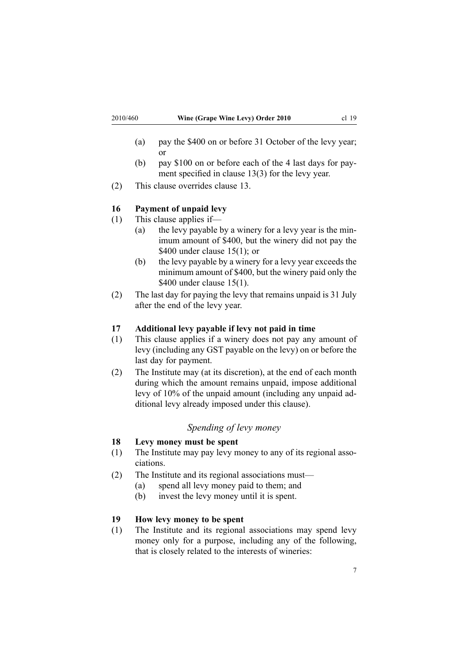- <span id="page-6-0"></span>(a) pay the \$400 on or before 31 October of the levy year; or
- (b) pay \$100 on or before each of the 4 last days for payment specified in clause [13\(3\)](#page-5-0) for the levy year.
- (2) This clause overrides [clause](#page-5-0) 13.

### **16 Payment of unpaid levy**

- (1) This clause applies if—
	- (a) the levy payable by <sup>a</sup> winery for <sup>a</sup> levy year is the minimum amount of \$400, but the winery did not pay the \$400 under clause  $15(1)$ ; or
	- (b) the levy payable by <sup>a</sup> winery for <sup>a</sup> levy year exceeds the minimum amount of \$400, but the winery paid only the \$400 under clause [15\(1\)](#page-5-0).
- (2) The last day for paying the levy that remains unpaid is 31 July after the end of the levy year.

#### **17 Additional levy payable if levy not paid in time**

- (1) This clause applies if <sup>a</sup> winery does not pay any amount of levy (including any GST payable on the levy) on or before the last day for payment.
- (2) The Institute may (at its discretion), at the end of each month during which the amount remains unpaid, impose additional levy of 10% of the unpaid amount (including any unpaid additional levy already imposed under this clause).

# *Spending of levy money*

### **18 Levy money must be spent**

- (1) The Institute may pay levy money to any of its regional associations.
- (2) The Institute and its regional associations must—
	- (a) spend all levy money paid to them; and
	- (b) invest the levy money until it is spent.

### **19 How levy money to be spent**

(1) The Institute and its regional associations may spend levy money only for <sup>a</sup> purpose, including any of the following, that is closely related to the interests of wineries: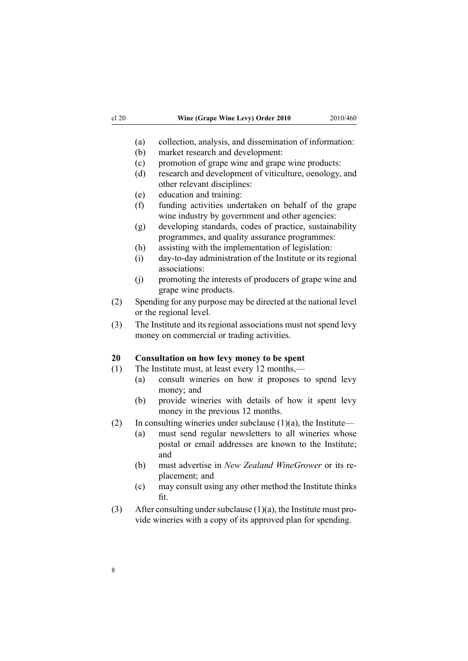- <span id="page-7-0"></span>(a) collection, analysis, and dissemination of information:
- (b) market research and development:
- (c) promotion of grape wine and grape wine products:
- (d) research and development of viticulture, oenology, and other relevant disciplines:
- (e) education and training:
- (f) funding activities undertaken on behalf of the grape wine industry by governmen<sup>t</sup> and other agencies:
- (g) developing standards, codes of practice, sustainability programmes, and quality assurance programmes:
- (h) assisting with the implementation of legislation:
- (i) day-to-day administration of the Institute or its regional associations:
- (j) promoting the interests of producers of grape wine and grape wine products.
- (2) Spending for any purpose may be directed at the national level or the regional level.
- (3) The Institute and its regional associations must not spend levy money on commercial or trading activities.

# **20 Consultation on how levy money to be spent**

- (1) The Institute must, at least every 12 months,—
	- (a) consult wineries on how it proposes to spend levy money; and
	- (b) provide wineries with details of how it spen<sup>t</sup> levy money in the previous 12 months.
- (2) In consulting wineries under subclause  $(1)(a)$ , the Institute—
	- (a) must send regular newsletters to all wineries whose postal or email addresses are known to the Institute; and
	- (b) must advertise in *New Zealand WineGrower* or its replacement; and
	- (c) may consult using any other method the Institute thinks fit.
- (3) After consulting under subclause  $(1)(a)$ , the Institute must provide wineries with <sup>a</sup> copy of its approved plan for spending.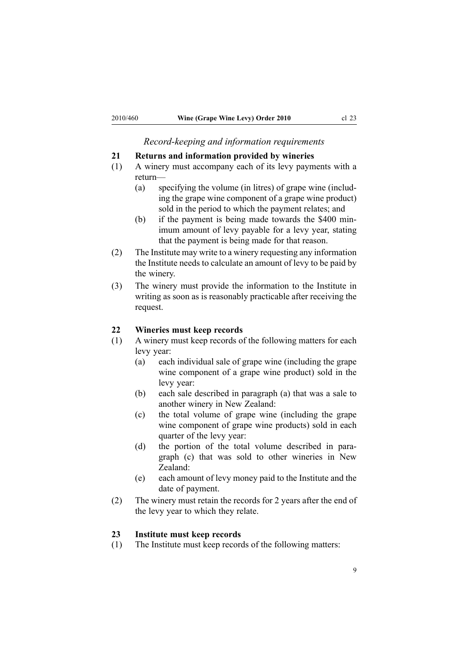*Record-keeping and information requirements*

#### <span id="page-8-0"></span>**21 Returns and information provided by wineries**

- (1) A winery must accompany each of its levy payments with <sup>a</sup> return—
	- (a) specifying the volume (in litres) of grape wine (including the grape wine componen<sup>t</sup> of <sup>a</sup> grape wine product) sold in the period to which the paymen<sup>t</sup> relates; and
	- (b) if the paymen<sup>t</sup> is being made towards the \$400 minimum amount of levy payable for <sup>a</sup> levy year, stating that the paymen<sup>t</sup> is being made for that reason.
- (2) The Institute may write to <sup>a</sup> winery requesting any information the Institute needs to calculate an amount of levy to be paid by the winery.
- (3) The winery must provide the information to the Institute in writing as soon as is reasonably practicable after receiving the request.

### **22 Wineries must keep records**

- (1) A winery must keep records of the following matters for each levy year:
	- (a) each individual sale of grape wine (including the grape wine componen<sup>t</sup> of <sup>a</sup> grape wine product) sold in the levy year:
	- (b) each sale described in paragraph (a) that was <sup>a</sup> sale to another winery in New Zealand:
	- (c) the total volume of grape wine (including the grape wine componen<sup>t</sup> of grape wine products) sold in each quarter of the levy year:
	- (d) the portion of the total volume described in paragraph (c) that was sold to other wineries in New Zealand:
	- (e) each amount of levy money paid to the Institute and the date of payment.
- (2) The winery must retain the records for 2 years after the end of the levy year to which they relate.

### **23 Institute must keep records**

(1) The Institute must keep records of the following matters: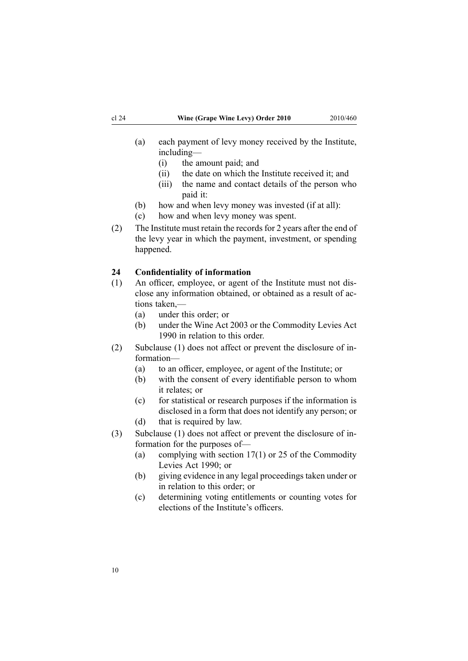- <span id="page-9-0"></span>(a) each paymen<sup>t</sup> of levy money received by the Institute, including—
	- (i) the amount paid; and
	- (ii) the date on which the Institute received it; and
	- (iii) the name and contact details of the person who paid it:
- (b) how and when levy money was invested (if at all):
- (c) how and when levy money was spent.
- (2) The Institute must retain the records for 2 years after the end of the levy year in which the payment, investment, or spending happened.

# **24 Confidentiality of information**

- (1) An officer, employee, or agen<sup>t</sup> of the Institute must not disclose any information obtained, or obtained as <sup>a</sup> result of actions taken,—
	- (a) under this order; or
	- (b) under the [Wine](http://www.legislation.govt.nz/pdflink.aspx?id=DLM222446) Act 2003 or the [Commodity](http://www.legislation.govt.nz/pdflink.aspx?id=DLM226673) Levies Act [1990](http://www.legislation.govt.nz/pdflink.aspx?id=DLM226673) in relation to this order.
- (2) Subclause (1) does not affect or preven<sup>t</sup> the disclosure of information—
	- (a) to an officer, employee, or agen<sup>t</sup> of the Institute; or
	- (b) with the consent of every identifiable person to whom it relates; or
	- (c) for statistical or research purposes if the information is disclosed in <sup>a</sup> form that does not identify any person; or
	- (d) that is required by law.
- (3) Subclause (1) does not affect or preven<sup>t</sup> the disclosure of information for the purposes of—
	- (a) complying with [section](http://www.legislation.govt.nz/pdflink.aspx?id=DLM227345) 17(1) or [25](http://www.legislation.govt.nz/pdflink.aspx?id=DLM227355) of the Commodity Levies Act 1990; or
	- (b) giving evidence in any legal proceedings taken under or in relation to this order; or
	- (c) determining voting entitlements or counting votes for elections of the Institute's officers.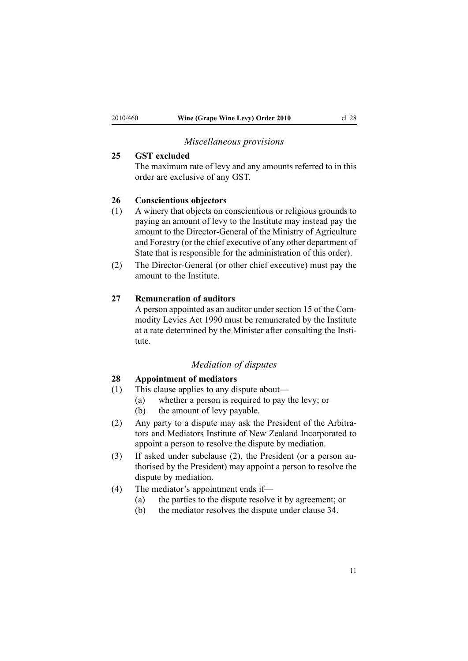# *Miscellaneous provisions*

# <span id="page-10-0"></span>**25 GST excluded**

The maximum rate of levy and any amounts referred to in this order are exclusive of any GST.

# **26 Conscientious objectors**

- (1) A winery that objects on conscientious or religious grounds to paying an amount of levy to the Institute may instead pay the amount to the Director-General of the Ministry of Agriculture and Forestry (or the chief executive of any other department of State that is responsible for the administration of this order).
- (2) The Director-General (or other chief executive) must pay the amount to the Institute.

# **27 Remuneration of auditors**

A person appointed as an auditor under [section](http://www.legislation.govt.nz/pdflink.aspx?id=DLM227341) 15 of the Commodity Levies Act 1990 must be remunerated by the Institute at <sup>a</sup> rate determined by the Minister after consulting the Institute.

### *Mediation of disputes*

# **28 Appointment of mediators**

- (1) This clause applies to any dispute about—
	- (a) whether <sup>a</sup> person is required to pay the levy; or
	- (b) the amount of levy payable.
- (2) Any party to <sup>a</sup> dispute may ask the President of the Arbitrators and Mediators Institute of New Zealand Incorporated to appoint <sup>a</sup> person to resolve the dispute by mediation.
- (3) If asked under subclause (2), the President (or <sup>a</sup> person authorised by the President) may appoint <sup>a</sup> person to resolve the dispute by mediation.
- (4) The mediator's appointment ends if—
	- (a) the parties to the dispute resolve it by agreement; or
	- (b) the mediator resolves the dispute under [clause](#page-12-0) 34.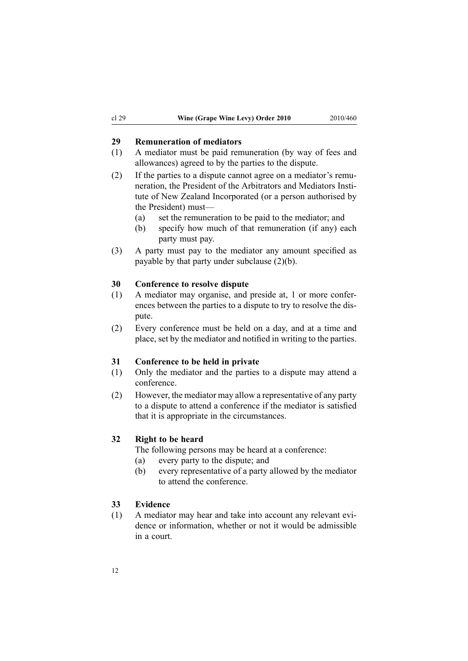# <span id="page-11-0"></span>**29 Remuneration of mediators**

- (1) A mediator must be paid remuneration (by way of fees and allowances) agreed to by the parties to the dispute.
- (2) If the parties to <sup>a</sup> dispute cannot agree on <sup>a</sup> mediator's remuneration, the President of the Arbitrators and Mediators Institute of New Zealand Incorporated (or <sup>a</sup> person authorised by the President) must—
	- (a) set the remuneration to be paid to the mediator; and
	- (b) specify how much of that remuneration (if any) each party must pay.
- (3) A party must pay to the mediator any amount specified as payable by that party under subclause (2)(b).

#### **30 Conference to resolve dispute**

- (1) A mediator may organise, and preside at, 1 or more conferences between the parties to <sup>a</sup> dispute to try to resolve the dispute.
- (2) Every conference must be held on <sup>a</sup> day, and at <sup>a</sup> time and place, set by the mediator and notified in writing to the parties.

### **31 Conference to be held in private**

- (1) Only the mediator and the parties to <sup>a</sup> dispute may attend <sup>a</sup> conference.
- (2) However, the mediator may allow <sup>a</sup> representative of any party to <sup>a</sup> dispute to attend <sup>a</sup> conference if the mediator is satisfied that it is appropriate in the circumstances.

### **32 Right to be heard**

The following persons may be heard at <sup>a</sup> conference:

- (a) every party to the dispute; and
- (b) every representative of <sup>a</sup> party allowed by the mediator to attend the conference.

# **33 Evidence**

(1) A mediator may hear and take into account any relevant evidence or information, whether or not it would be admissible in <sup>a</sup> court.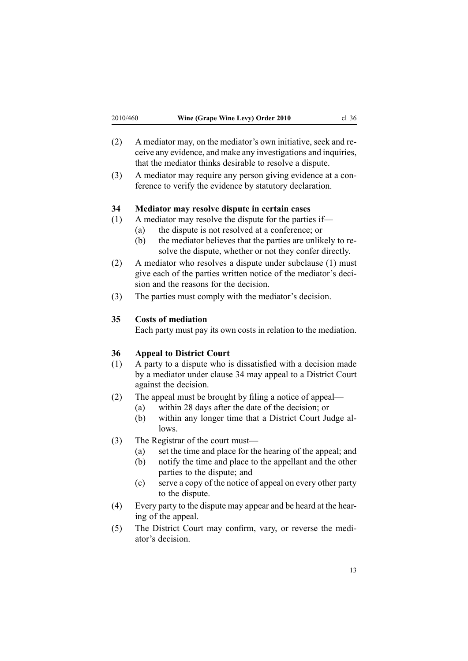- <span id="page-12-0"></span>(2) A mediator may, on the mediator's own initiative, seek and receive any evidence, and make any investigations and inquiries, that the mediator thinks desirable to resolve <sup>a</sup> dispute.
- (3) A mediator may require any person giving evidence at <sup>a</sup> conference to verify the evidence by statutory declaration.

#### **34 Mediator may resolve dispute in certain cases**

- (1) A mediator may resolve the dispute for the parties if—
	- (a) the dispute is not resolved at <sup>a</sup> conference; or
	- (b) the mediator believes that the parties are unlikely to resolve the dispute, whether or not they confer directly.
- (2) A mediator who resolves <sup>a</sup> dispute under subclause (1) must give each of the parties written notice of the mediator's decision and the reasons for the decision.
- (3) The parties must comply with the mediator's decision.

# **35 Costs of mediation**

Each party must pay its own costs in relation to the mediation.

# **36 Appeal to District Court**

- (1) A party to <sup>a</sup> dispute who is dissatisfied with <sup>a</sup> decision made by <sup>a</sup> mediator under clause 34 may appeal to <sup>a</sup> District Court against the decision.
- (2) The appeal must be brought by filing <sup>a</sup> notice of appeal—
	- (a) within 28 days after the date of the decision; or
	- (b) within any longer time that <sup>a</sup> District Court Judge allows.
- (3) The Registrar of the court must—
	- (a) set the time and place for the hearing of the appeal; and
	- (b) notify the time and place to the appellant and the other parties to the dispute; and
	- (c) serve <sup>a</sup> copy of the notice of appeal on every other party to the dispute.
- (4) Every party to the dispute may appear and be heard at the hearing of the appeal.
- (5) The District Court may confirm, vary, or reverse the mediator's decision.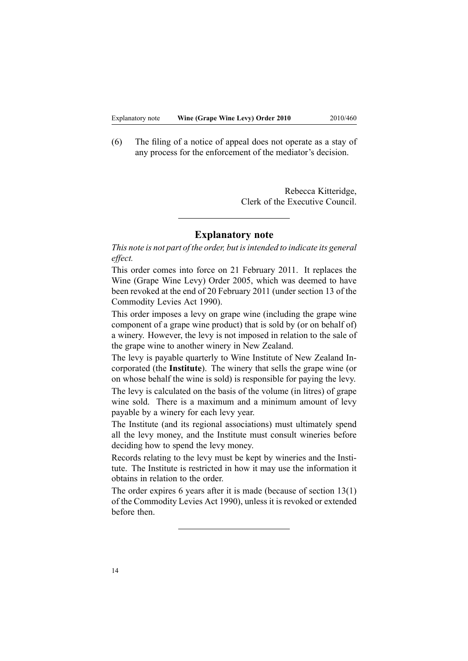(6) The filing of <sup>a</sup> notice of appeal does not operate as <sup>a</sup> stay of any process for the enforcement of the mediator's decision.

> Rebecca Kitteridge, Clerk of the Executive Council.

# **Explanatory note**

*This note is not par<sup>t</sup> of the order, but isintended to indicate its general effect.*

This order comes into force on 21 February 2011. It replaces the Wine [\(Grape](http://www.legislation.govt.nz/pdflink.aspx?id=DLM313264) Wine Levy) Order 2005, which was deemed to have been revoked at the end of 20 February 2011 (under [section](http://www.legislation.govt.nz/pdflink.aspx?id=DLM227338) 13 of the Commodity Levies Act 1990).

This order imposes <sup>a</sup> levy on grape wine (including the grape wine componen<sup>t</sup> of <sup>a</sup> grape wine product) that is sold by (or on behalf of) <sup>a</sup> winery. However, the levy is not imposed in relation to the sale of the grape wine to another winery in New Zealand.

The levy is payable quarterly to Wine Institute of New Zealand Incorporated (the **Institute**). The winery that sells the grape wine (or on whose behalf the wine is sold) is responsible for paying the levy. The levy is calculated on the basis of the volume (in litres) of grape wine sold. There is <sup>a</sup> maximum and <sup>a</sup> minimum amount of levy payable by <sup>a</sup> winery for each levy year.

The Institute (and its regional associations) must ultimately spend all the levy money, and the Institute must consult wineries before deciding how to spend the levy money.

Records relating to the levy must be kept by wineries and the Institute. The Institute is restricted in how it may use the information it obtains in relation to the order.

The order expires 6 years after it is made (because of [section](http://www.legislation.govt.nz/pdflink.aspx?id=DLM227338) 13(1) of the Commodity Levies Act 1990), unless it is revoked or extended before then.